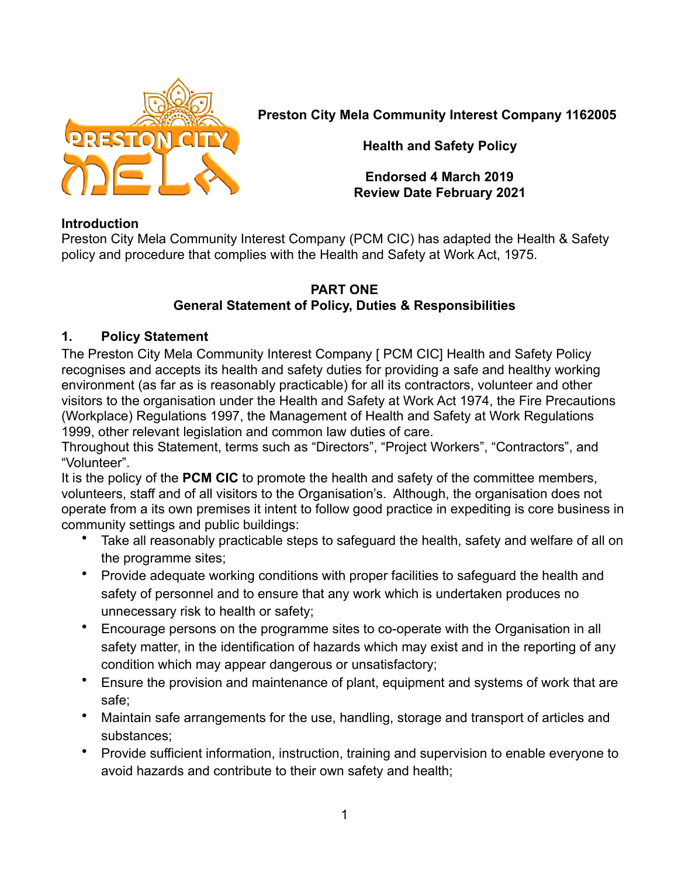

**Preston City Mela Community Interest Company 1162005**

**Health and Safety Policy**

**Endorsed 4 March 2019 Review Date February 2021**

#### **Introduction**

Preston City Mela Community Interest Company (PCM CIC) has adapted the Health & Safety policy and procedure that complies with the Health and Safety at Work Act, 1975.

#### **PART ONE General Statement of Policy, Duties & Responsibilities**

# **1. Policy Statement**

The Preston City Mela Community Interest Company [ PCM CIC] Health and Safety Policy recognises and accepts its health and safety duties for providing a safe and healthy working environment (as far as is reasonably practicable) for all its contractors, volunteer and other visitors to the organisation under the Health and Safety at Work Act 1974, the Fire Precautions (Workplace) Regulations 1997, the Management of Health and Safety at Work Regulations 1999, other relevant legislation and common law duties of care.

Throughout this Statement, terms such as "Directors", "Project Workers", "Contractors", and "Volunteer".

It is the policy of the **PCM CIC** to promote the health and safety of the committee members, volunteers, staff and of all visitors to the Organisation's. Although, the organisation does not operate from a its own premises it intent to follow good practice in expediting is core business in community settings and public buildings:

- Take all reasonably practicable steps to safeguard the health, safety and welfare of all on the programme sites;
- Provide adequate working conditions with proper facilities to safeguard the health and safety of personnel and to ensure that any work which is undertaken produces no unnecessary risk to health or safety;
- Encourage persons on the programme sites to co-operate with the Organisation in all safety matter, in the identification of hazards which may exist and in the reporting of any condition which may appear dangerous or unsatisfactory;
- Ensure the provision and maintenance of plant, equipment and systems of work that are safe;
- Maintain safe arrangements for the use, handling, storage and transport of articles and substances;
- Provide sufficient information, instruction, training and supervision to enable everyone to avoid hazards and contribute to their own safety and health;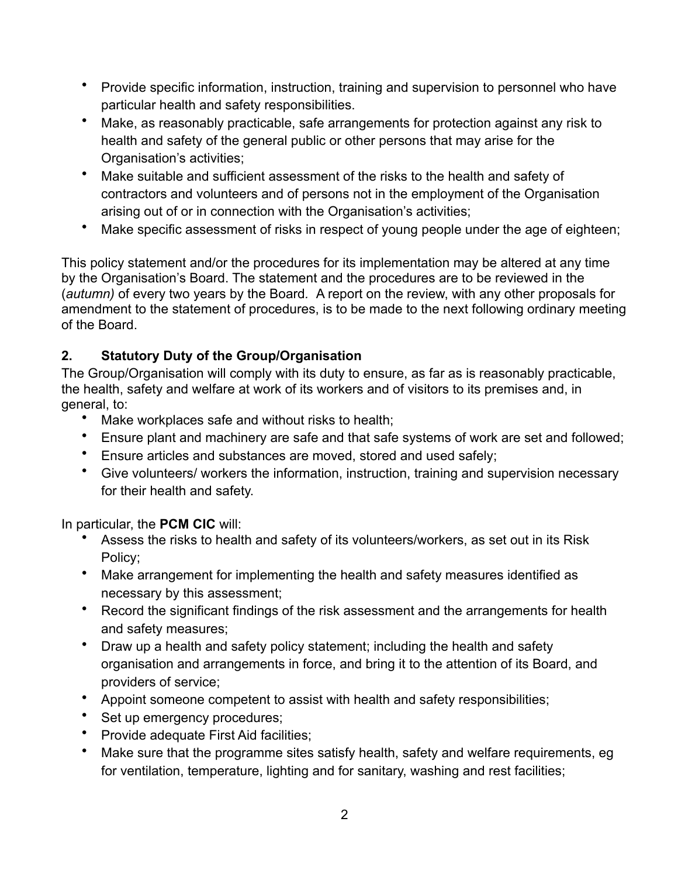- Provide specific information, instruction, training and supervision to personnel who have particular health and safety responsibilities.
- Make, as reasonably practicable, safe arrangements for protection against any risk to health and safety of the general public or other persons that may arise for the Organisation's activities;
- Make suitable and sufficient assessment of the risks to the health and safety of contractors and volunteers and of persons not in the employment of the Organisation arising out of or in connection with the Organisation's activities;
- Make specific assessment of risks in respect of young people under the age of eighteen;

This policy statement and/or the procedures for its implementation may be altered at any time by the Organisation's Board. The statement and the procedures are to be reviewed in the (*autumn)* of every two years by the Board*.* A report on the review, with any other proposals for amendment to the statement of procedures, is to be made to the next following ordinary meeting of the Board.

# **2. Statutory Duty of the Group/Organisation**

The Group/Organisation will comply with its duty to ensure, as far as is reasonably practicable, the health, safety and welfare at work of its workers and of visitors to its premises and, in general, to:

- Make workplaces safe and without risks to health;
- Ensure plant and machinery are safe and that safe systems of work are set and followed;
- Ensure articles and substances are moved, stored and used safely;
- Give volunteers/ workers the information, instruction, training and supervision necessary for their health and safety.

In particular, the **PCM CIC** will:

- Assess the risks to health and safety of its volunteers/workers, as set out in its Risk Policy;
- Make arrangement for implementing the health and safety measures identified as necessary by this assessment;
- Record the significant findings of the risk assessment and the arrangements for health and safety measures;
- Draw up a health and safety policy statement; including the health and safety organisation and arrangements in force, and bring it to the attention of its Board, and providers of service;
- Appoint someone competent to assist with health and safety responsibilities;
- Set up emergency procedures;
- Provide adequate First Aid facilities;
- Make sure that the programme sites satisfy health, safety and welfare requirements, eg for ventilation, temperature, lighting and for sanitary, washing and rest facilities;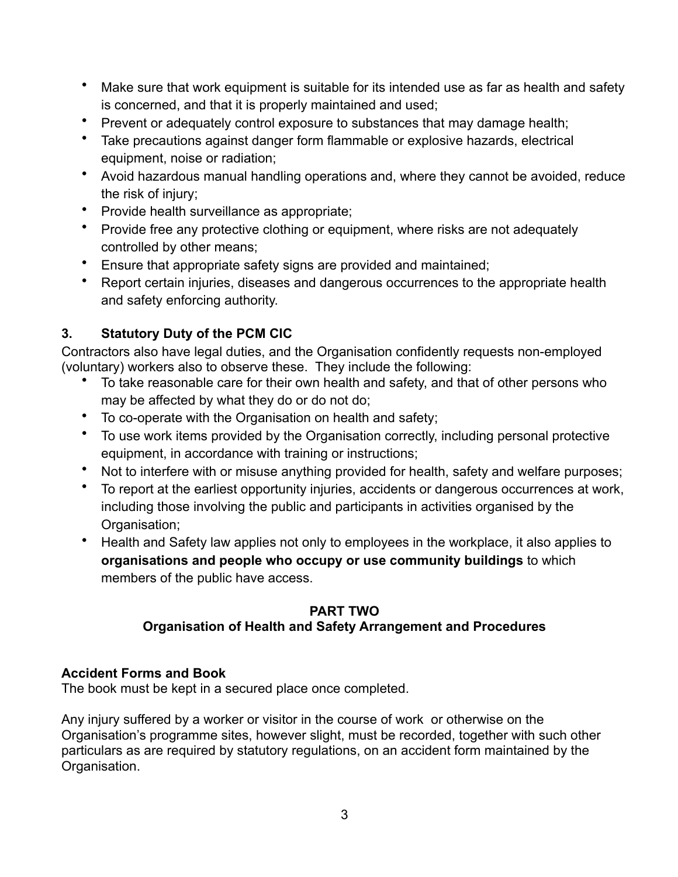- Make sure that work equipment is suitable for its intended use as far as health and safety is concerned, and that it is properly maintained and used;
- Prevent or adequately control exposure to substances that may damage health;
- Take precautions against danger form flammable or explosive hazards, electrical equipment, noise or radiation;
- Avoid hazardous manual handling operations and, where they cannot be avoided, reduce the risk of injury;
- Provide health surveillance as appropriate;
- Provide free any protective clothing or equipment, where risks are not adequately controlled by other means;
- Ensure that appropriate safety signs are provided and maintained;
- Report certain injuries, diseases and dangerous occurrences to the appropriate health and safety enforcing authority.

# **3. Statutory Duty of the PCM CIC**

Contractors also have legal duties, and the Organisation confidently requests non-employed (voluntary) workers also to observe these. They include the following:

- To take reasonable care for their own health and safety, and that of other persons who may be affected by what they do or do not do;
- To co-operate with the Organisation on health and safety;
- To use work items provided by the Organisation correctly, including personal protective equipment, in accordance with training or instructions;
- Not to interfere with or misuse anything provided for health, safety and welfare purposes;
- To report at the earliest opportunity injuries, accidents or dangerous occurrences at work, including those involving the public and participants in activities organised by the Organisation;
- Health and Safety law applies not only to employees in the workplace, it also applies to **organisations and people who occupy or use community buildings** to which members of the public have access.

# **PART TWO Organisation of Health and Safety Arrangement and Procedures**

# **Accident Forms and Book**

The book must be kept in a secured place once completed.

Any injury suffered by a worker or visitor in the course of work or otherwise on the Organisation's programme sites, however slight, must be recorded, together with such other particulars as are required by statutory regulations, on an accident form maintained by the Organisation.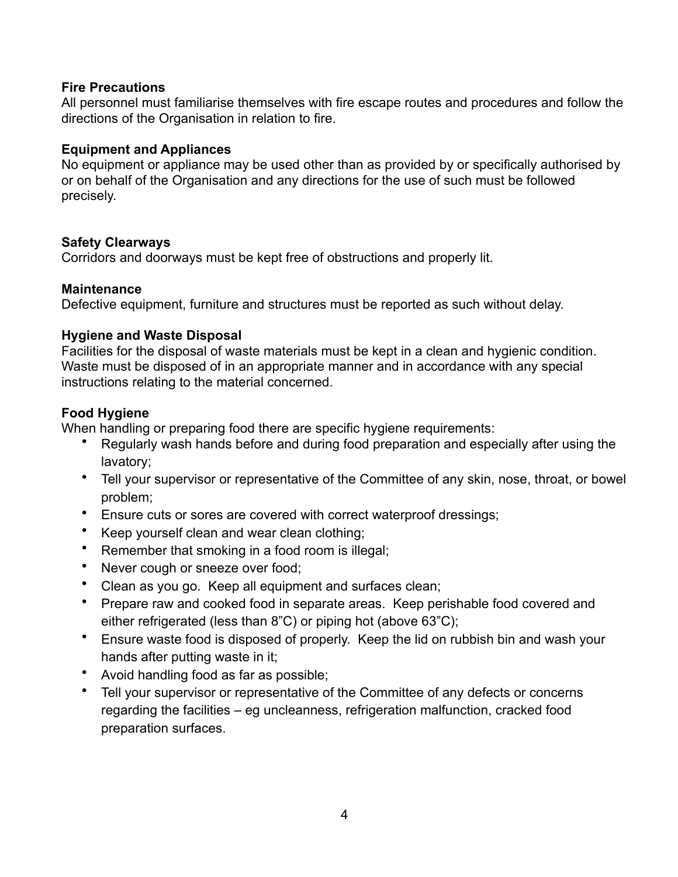#### **Fire Precautions**

All personnel must familiarise themselves with fire escape routes and procedures and follow the directions of the Organisation in relation to fire.

#### **Equipment and Appliances**

No equipment or appliance may be used other than as provided by or specifically authorised by or on behalf of the Organisation and any directions for the use of such must be followed precisely.

# **Safety Clearways**

Corridors and doorways must be kept free of obstructions and properly lit.

# **Maintenance**

Defective equipment, furniture and structures must be reported as such without delay.

#### **Hygiene and Waste Disposal**

Facilities for the disposal of waste materials must be kept in a clean and hygienic condition. Waste must be disposed of in an appropriate manner and in accordance with any special instructions relating to the material concerned.

# **Food Hygiene**

When handling or preparing food there are specific hygiene requirements:

- Regularly wash hands before and during food preparation and especially after using the lavatory;
- Tell your supervisor or representative of the Committee of any skin, nose, throat, or bowel problem;
- Ensure cuts or sores are covered with correct waterproof dressings;
- Keep yourself clean and wear clean clothing;
- Remember that smoking in a food room is illegal;
- Never cough or sneeze over food;
- Clean as you go. Keep all equipment and surfaces clean;
- Prepare raw and cooked food in separate areas. Keep perishable food covered and either refrigerated (less than 8"C) or piping hot (above 63"C);
- Ensure waste food is disposed of properly. Keep the lid on rubbish bin and wash your hands after putting waste in it;
- Avoid handling food as far as possible;
- Tell your supervisor or representative of the Committee of any defects or concerns regarding the facilities – eg uncleanness, refrigeration malfunction, cracked food preparation surfaces.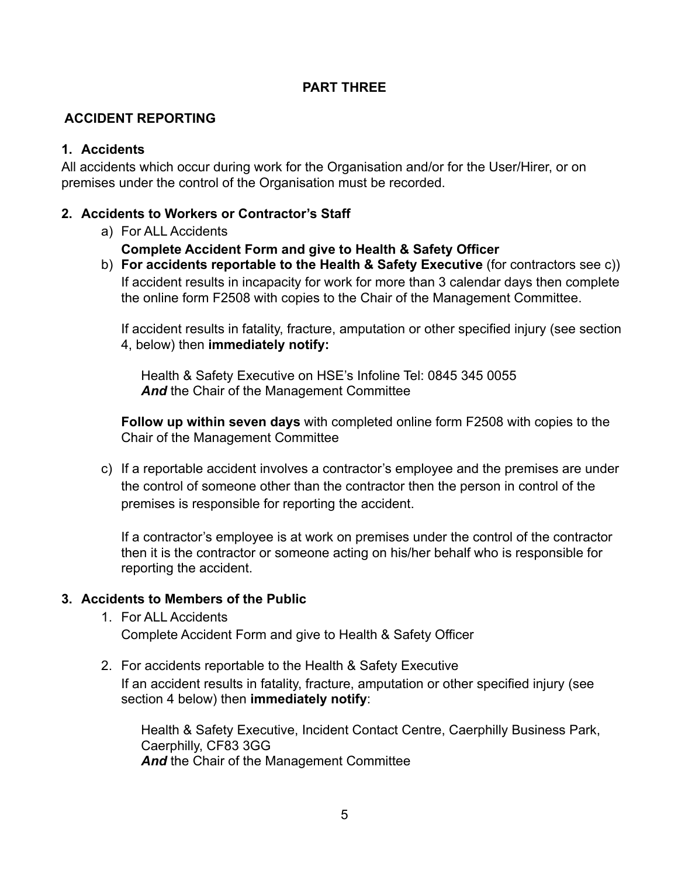#### **PART THREE**

# **ACCIDENT REPORTING**

#### **1. Accidents**

All accidents which occur during work for the Organisation and/or for the User/Hirer, or on premises under the control of the Organisation must be recorded.

#### **2. Accidents to Workers or Contractor's Staff**

a) For ALL Accidents

#### **Complete Accident Form and give to Health & Safety Officer**

b) **For accidents reportable to the Health & Safety Executive** (for contractors see c)) If accident results in incapacity for work for more than 3 calendar days then complete the online form F2508 with copies to the Chair of the Management Committee.

If accident results in fatality, fracture, amputation or other specified injury (see section 4, below) then **immediately notify:**

Health & Safety Executive on HSE's Infoline Tel: 0845 345 0055 *And* the Chair of the Management Committee

**Follow up within seven days** with completed online form F2508 with copies to the Chair of the Management Committee

c) If a reportable accident involves a contractor's employee and the premises are under the control of someone other than the contractor then the person in control of the premises is responsible for reporting the accident.

If a contractor's employee is at work on premises under the control of the contractor then it is the contractor or someone acting on his/her behalf who is responsible for reporting the accident.

# **3. Accidents to Members of the Public**

- 1. For ALL Accidents Complete Accident Form and give to Health & Safety Officer
- 2. For accidents reportable to the Health & Safety Executive If an accident results in fatality, fracture, amputation or other specified injury (see section 4 below) then **immediately notify**:

Health & Safety Executive, Incident Contact Centre, Caerphilly Business Park, Caerphilly, CF83 3GG And the Chair of the Management Committee